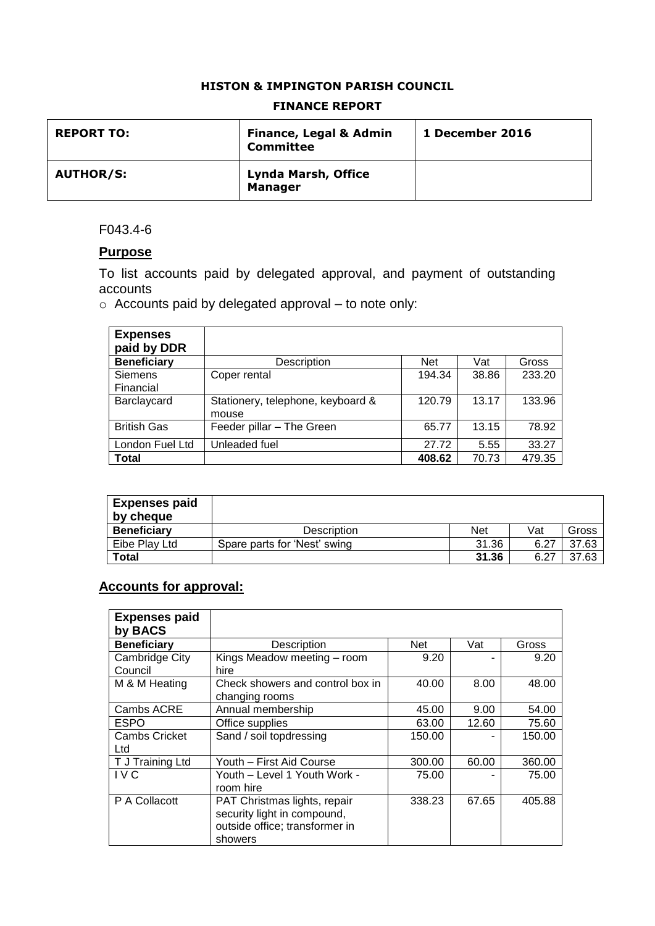#### **HISTON & IMPINGTON PARISH COUNCIL**

| <b>REPORT TO:</b> | <b>Finance, Legal &amp; Admin</b><br><b>Committee</b> | 1 December 2016 |
|-------------------|-------------------------------------------------------|-----------------|
| <b>AUTHOR/S:</b>  | <b>Lynda Marsh, Office</b><br><b>Manager</b>          |                 |

### **FINANCE REPORT**

#### F043.4-6

## **Purpose**

To list accounts paid by delegated approval, and payment of outstanding accounts

o Accounts paid by delegated approval – to note only:

| <b>Expenses</b><br>paid by DDR |                                   |            |       |        |
|--------------------------------|-----------------------------------|------------|-------|--------|
| <b>Beneficiary</b>             | Description                       | <b>Net</b> | Vat   | Gross  |
| <b>Siemens</b>                 | Coper rental                      | 194.34     | 38.86 | 233.20 |
| Financial                      |                                   |            |       |        |
| Barclaycard                    | Stationery, telephone, keyboard & | 120.79     | 13.17 | 133.96 |
|                                | mouse                             |            |       |        |
| <b>British Gas</b>             | Feeder pillar - The Green         | 65.77      | 13.15 | 78.92  |
| London Fuel Ltd                | Unleaded fuel                     | 27.72      | 5.55  | 33.27  |
| Total                          |                                   | 408.62     | 70.73 | 479.35 |

| <b>Expenses paid</b><br>by cheque |                              |            |      |       |
|-----------------------------------|------------------------------|------------|------|-------|
| <b>Beneficiary</b>                | <b>Description</b>           | <b>Net</b> | Vat  | Gross |
| Eibe Play Ltd                     | Spare parts for 'Nest' swing | 31.36      | 6.27 | 37.63 |
| Total                             |                              | 31.36      | 6.27 | 37.63 |

# **Accounts for approval:**

| <b>Expenses paid</b><br>by BACS |                                                                                                          |        |       |        |
|---------------------------------|----------------------------------------------------------------------------------------------------------|--------|-------|--------|
| <b>Beneficiary</b>              | Description                                                                                              | Net    | Vat   | Gross  |
| Cambridge City<br>Council       | Kings Meadow meeting - room<br>hire                                                                      | 9.20   |       | 9.20   |
| M & M Heating                   | Check showers and control box in<br>changing rooms                                                       | 40.00  | 8.00  | 48.00  |
| Cambs ACRE                      | Annual membership                                                                                        | 45.00  | 9.00  | 54.00  |
| <b>ESPO</b>                     | Office supplies                                                                                          | 63.00  | 12.60 | 75.60  |
| <b>Cambs Cricket</b><br>Ltd     | Sand / soil topdressing                                                                                  | 150.00 |       | 150.00 |
| T J Training Ltd                | Youth - First Aid Course                                                                                 | 300.00 | 60.00 | 360.00 |
| I V C                           | Youth – Level 1 Youth Work -<br>room hire                                                                | 75.00  |       | 75.00  |
| P A Collacott                   | PAT Christmas lights, repair<br>security light in compound,<br>outside office; transformer in<br>showers | 338.23 | 67.65 | 405.88 |